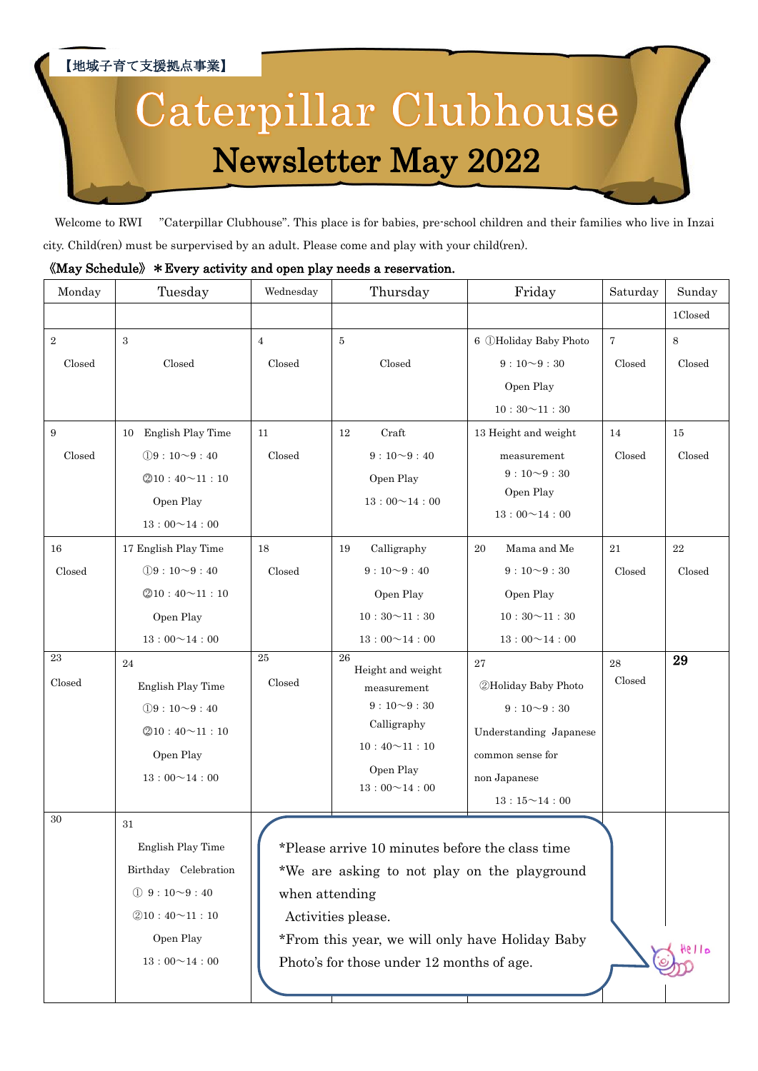## 【地域子育て支援拠点事業】 Caterpillar Clubhouse Newsletter May 2022

Welcome to RWI "Caterpillar Clubhouse". This place is for babies, pre-school children and their families who live in Inzai city. Child(ren) must be surpervised by an adult. Please come and play with your child(ren).

## 《May Schedule》\*Every activity and open play needs a reservation.

| Monday             | Tuesday                                                                                                                                 | Wednesday                                                                                                                                                                                                                               | Thursday                                                                                                                                 | Friday                                                                                                                                 | Saturday                 | Sunday       |
|--------------------|-----------------------------------------------------------------------------------------------------------------------------------------|-----------------------------------------------------------------------------------------------------------------------------------------------------------------------------------------------------------------------------------------|------------------------------------------------------------------------------------------------------------------------------------------|----------------------------------------------------------------------------------------------------------------------------------------|--------------------------|--------------|
|                    |                                                                                                                                         |                                                                                                                                                                                                                                         |                                                                                                                                          |                                                                                                                                        |                          | 1Closed      |
| $\,2$<br>Closed    | 3<br>Closed                                                                                                                             | $\overline{4}$<br>Closed                                                                                                                                                                                                                | 5<br>Closed                                                                                                                              | 6 <b>OHoliday Baby Photo</b><br>$9:10\sim9:30$<br>Open Play<br>$10:30\!\!\simeq\!\!11:30$                                              | $\overline{7}$<br>Closed | 8<br>Closed  |
| $\,9$<br>Closed    | English Play Time<br>10<br>$(19:10 \sim 9:40)$<br>@10:40~11:10<br>Open Play<br>$13:00 \sim 14:00$                                       | 11<br>Closed                                                                                                                                                                                                                            | Craft<br>12<br>$9:10\sim9:40$<br>Open Play<br>$13:00 \sim 14:00$                                                                         | 13 Height and weight<br>measurement<br>$9:10\sim9:30$<br>Open Play<br>$13:00 \sim 14:00$                                               | 14<br>Closed             | 15<br>Closed |
| $16\,$<br>Closed   | 17 English Play Time<br>$(1)9:10 \sim 9:40$<br>@10:40~11:10<br>Open Play<br>$13:00 \sim 14:00$                                          | 18<br>Closed                                                                                                                                                                                                                            | Calligraphy<br>19<br>$9:10\sim9:40$<br>Open Play<br>$10:30 \sim 11:30$<br>$13:00 \sim 14:00$                                             | Mama and Me<br>20<br>$9:10\sim9:30$<br>Open Play<br>$10:30 \sim 11:30$<br>$13:00 \sim 14:00$                                           | 21<br>Closed             | 22<br>Closed |
| $\bf 23$<br>Closed | $\bf{24}$<br>English Play Time<br>$(19:10 \sim 9:40)$<br>@10:40~11:10<br>Open Play<br>$13:00 \sim 14:00$                                | $25\,$<br>Closed                                                                                                                                                                                                                        | 26<br>Height and weight<br>measurement<br>$9:10\rightarrow 9:30$<br>Calligraphy<br>$10:40 \sim 11:10$<br>Open Play<br>$13:00 \sim 14:00$ | 27<br><b>2Holiday Baby Photo</b><br>$9:10\sim9:30$<br>Understanding Japanese<br>common sense for<br>non Japanese<br>$13:15 \sim 14:00$ | ${\bf 28}$<br>Closed     | 29           |
| 30                 | 31<br>English Play Time<br>Birthday Celebration<br>$\textcircled{1}$ 9 : 10 ~ 9 : 40<br>@10:40~11:10<br>Open Play<br>$13:00 \sim 14:00$ | *Please arrive 10 minutes before the class time<br>*We are asking to not play on the playground<br>when attending<br>Activities please.<br>*From this year, we will only have Holiday Baby<br>Photo's for those under 12 months of age. |                                                                                                                                          |                                                                                                                                        | Hello                    |              |